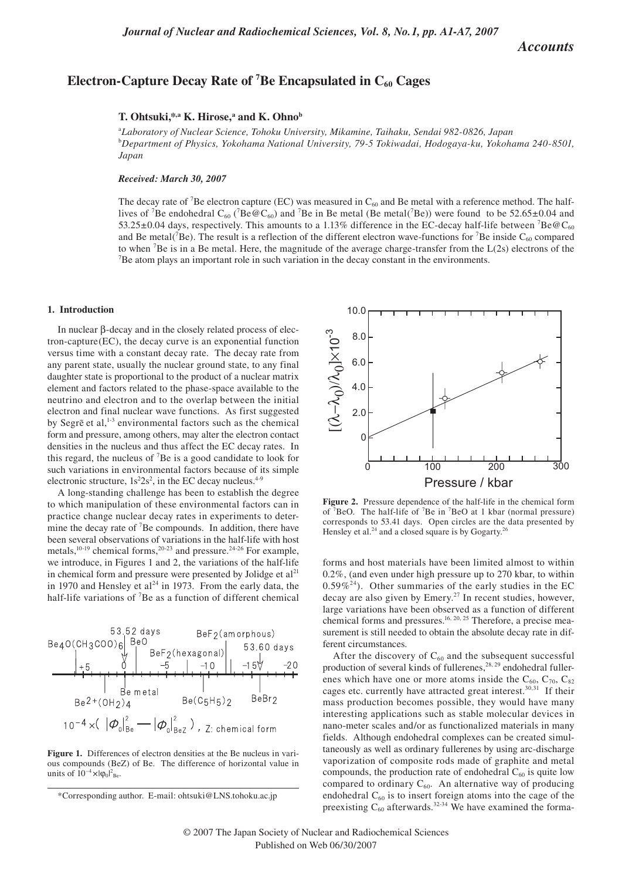# *Accounts*

# Electron-Capture Decay Rate of <sup>7</sup>Be Encapsulated in C<sub>60</sub> Cages

# T. Ohtsuki,\*,a K. Hirose,<sup>a</sup> and K. Ohno<sup>b</sup>

a *Laboratory of Nuclear Science, Tohoku University, Mikamine, Taihaku, Sendai 982-0826, Japan* b *Department of Physics, Yokohama National University, 79-5 Tokiwadai, Hodogaya-ku, Yokohama 240-8501, Japan*

## *Received: March 30, 2007*

The decay rate of <sup>7</sup>Be electron capture (EC) was measured in  $C_{60}$  and Be metal with a reference method. The halflives of <sup>7</sup>Be endohedral C<sub>60</sub> (<sup>7</sup>Be @C<sub>60</sub>) and <sup>7</sup>Be in Be metal (Be metal(<sup>7</sup>Be)) were found to be 52.65±0.04 and 53.25 $\pm$ 0.04 days, respectively. This amounts to a 1.13% difference in the EC-decay half-life between <sup>7</sup>Be@C<sub>60</sub> and Be metal( ${}^{7}Be$ ). The result is a reflection of the different electron wave-functions for  ${}^{7}Be$  inside  $C_{60}$  compared to when <sup>7</sup>Be is in a Be metal. Here, the magnitude of the average charge-transfer from the  $L(2s)$  electrons of the  $7B<sub>2</sub>$  atom plays an important role in such variation in the decay constant in the environments  $B^7$ Be atom plays an important role in such variation in the decay constant in the environments.

#### **1. Introduction**

In nuclear β-decay and in the closely related process of electron-capture(EC), the decay curve is an exponential function versus time with a constant decay rate. The decay rate from any parent state, usually the nuclear ground state, to any final daughter state is proportional to the product of a nuclear matrix element and factors related to the phase-space available to the neutrino and electron and to the overlap between the initial electron and final nuclear wave functions. As first suggested by Segrē et al,<sup>1-3</sup> environmental factors such as the chemical form and pressure, among others, may alter the electron contact densities in the nucleus and thus affect the EC decay rates. In this regard, the nucleus of 7 Be is a good candidate to look for such variations in environmental factors because of its simple electronic structure,  $1s^22s^2$ , in the EC decay nucleus.<sup>4-9</sup>

A long-standing challenge has been to establish the degree to which manipulation of these environmental factors can in practice change nuclear decay rates in experiments to determine the decay rate of  ${}^{7}$ Be compounds. In addition, there have been several observations of variations in the half-life with host metals, $10-19$  chemical forms, $20-23$  and pressure. $24-26$  For example, we introduce, in Figures 1 and 2, the variations of the half-life in chemical form and pressure were presented by Jolidge et  $al<sup>21</sup>$ in 1970 and Hensley et al<sup>24</sup> in 1973. From the early data, the half-life variations of <sup>7</sup>Be as a function of different chemical



Figure 1. Differences of electron densities at the Be nucleus in various compounds (BeZ) of Be. The difference of horizontal value in units of  $10^{-4} \times |\varphi_0|^2$ <sub>Be</sub>.



**Figure 2.** Pressure dependence of the half-life in the chemical form of  ${}^{7}$ BeO. The half-life of  ${}^{7}$ Be in  ${}^{7}$ BeO at 1 kbar (normal pressure) corresponds to 53.41 days. Open circles are the data presented by Hensley et al.<sup>24</sup> and a closed square is by Gogarty.<sup>26</sup>

forms and host materials have been limited almost to within 0.2%, (and even under high pressure up to 270 kbar, to within  $0.59\%^{24}$ ). Other summaries of the early studies in the EC decay are also given by Emery.<sup>27</sup> In recent studies, however, large variations have been observed as a function of different chemical forms and pressures.<sup>16, 20, 25</sup> Therefore, a precise measurement is still needed to obtain the absolute decay rate in different circumstances.

After the discovery of  $C_{60}$  and the subsequent successful production of several kinds of fullerenes, $28, 29$  endohedral fullerenes which have one or more atoms inside the  $C_{60}$ ,  $C_{70}$ ,  $C_{82}$ cages etc. currently have attracted great interest.30,31 If their mass production becomes possible, they would have many interesting applications such as stable molecular devices in nano-meter scales and/or as functionalized materials in many fields. Although endohedral complexes can be created simultaneously as well as ordinary fullerenes by using arc-discharge vaporization of composite rods made of graphite and metal compounds, the production rate of endohedral  $C_{60}$  is quite low compared to ordinary  $C_{60}$ . An alternative way of producing endohedral  $C_{60}$  is to insert foreign atoms into the cage of the preexisting  $C_{60}$  afterwards.<sup>32-34</sup> We have examined the forma-

<sup>\*</sup>Corresponding author. E-mail: ohtsuki@LNS.tohoku.ac.jp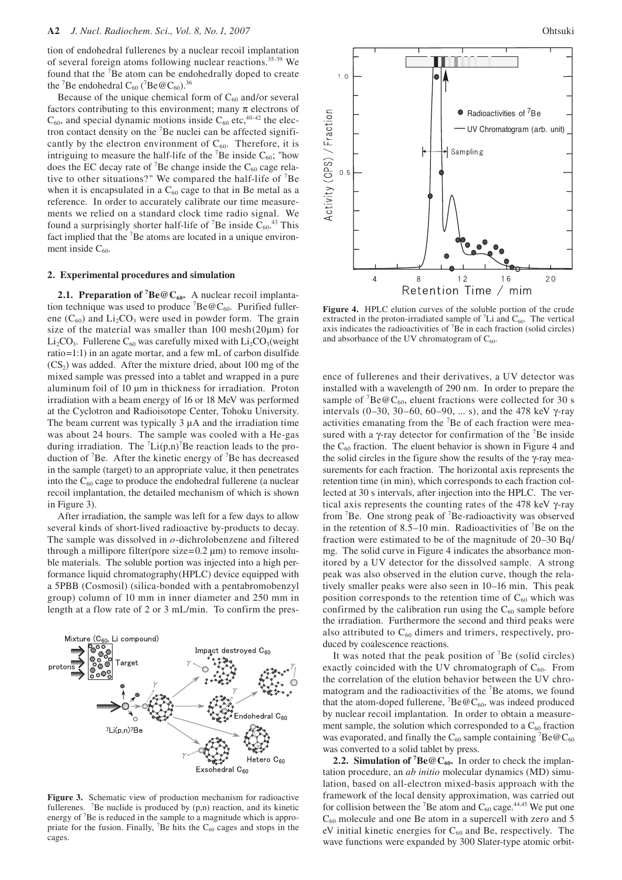tion of endohedral fullerenes by a nuclear recoil implantation of several foreign atoms following nuclear reactions.<sup>35-39</sup> We found that the <sup>7</sup>Be atom can be endohedrally doped to create the <sup>7</sup>Be endohedral  $C_{60}$  (<sup>7</sup>Be@ $C_{60}$ ).<sup>36</sup>

Because of the unique chemical form of  $C_{60}$  and/or several factors contributing to this environment; many  $\pi$  electrons of  $C_{60}$ , and special dynamic motions inside  $C_{60}$  etc, <sup>40-42</sup> the electron contact density on the 7 Be nuclei can be affected significantly by the electron environment of  $C_{60}$ . Therefore, it is intriguing to measure the half-life of the  ${}^{7}Be$  inside  $C_{60}$ ; "how does the EC decay rate of <sup>7</sup>Be change inside the  $C_{60}$  cage relative to other situations?" We compared the half-life of 7 Be when it is encapsulated in a  $C_{60}$  cage to that in Be metal as a reference. In order to accurately calibrate our time measurements we relied on a standard clock time radio signal. We found a surprisingly shorter half-life of <sup>7</sup>Be inside  $C_{60}$ <sup>43</sup> This fact implied that the <sup>7</sup>Be atoms are located in a unique environment inside  $C_{60}$ .

#### **2. Experimental procedures and simulation**

**2.1. Preparation of <sup>7</sup>Be@C<sub>60</sub>.** A nuclear recoil implantation technique was used to produce  ${}^{7}Be@C_{60}$ . Purified fullerene  $(C_{60})$  and  $Li_2CO_3$  were used in powder form. The grain size of the material was smaller than  $100$  mesh $(20\mu m)$  for Li<sub>2</sub>CO<sub>3</sub>. Fullerene C<sub>60</sub> was carefully mixed with Li<sub>2</sub>CO<sub>3</sub>(weight ratio=1:1) in an agate mortar, and a few mL of carbon disulfide  $(CS<sub>2</sub>)$  was added. After the mixture dried, about 100 mg of the mixed sample was pressed into a tablet and wrapped in a pure aluminum foil of 10 µm in thickness for irradiation. Proton irradiation with a beam energy of 16 or 18 MeV was performed at the Cyclotron and Radioisotope Center, Tohoku University. The beam current was typically  $3 \mu A$  and the irradiation time was about 24 hours. The sample was cooled with a He-gas during irradiation. The  ${}^{7}Li(p,n){}^{7}Be$  reaction leads to the production of <sup>7</sup>Be. After the kinetic energy of <sup>7</sup>Be has decreased in the sample (target) to an appropriate value, it then penetrates into the  $C_{60}$  cage to produce the endohedral fullerene (a nuclear recoil implantation, the detailed mechanism of which is shown in Figure 3).

After irradiation, the sample was left for a few days to allow several kinds of short-lived radioactive by-products to decay. The sample was dissolved in *o*-dichrolobenzene and filtered through a millipore filter(pore size= $0.2 \mu$ m) to remove insoluble materials. The soluble portion was injected into a high performance liquid chromatography(HPLC) device equipped with a 5PBB (Cosmosil) (silica-bonded with a pentabromobenzyl group) column of 10 mm in inner diameter and 250 mm in length at a flow rate of 2 or 3 mL/min. To confirm the pres-



**Figure 3.** Schematic view of production mechanism for radioactive fullerenes. <sup>7</sup>Be nuclide is produced by  $(p,n)$  reaction, and its kinetic energy of <sup>7</sup>Be is reduced in the sample to a magnitude which is appropriate for the fusion. Finally,  ${}^{7}$ Be hits the C<sub>60</sub> cages and stops in the cages.



**Figure 4.** HPLC elution curves of the soluble portion of the crude extracted in the proton-irradiated sample of  ${}^{7}Li$  and  $C_{60}$ . The vertical axis indicates the radioactivities of 7 Be in each fraction (solid circles) and absorbance of the UV chromatogram of  $C_{60}$ .

ence of fullerenes and their derivatives, a UV detector was installed with a wavelength of 290 nm. In order to prepare the sample of  ${}^{7}Be@C_{60}$ , eluent fractions were collected for 30 s intervals (0–30, 30–60, 60–90, ... s), and the 478 keV γ-ray activities emanating from the <sup>7</sup>Be of each fraction were measured with a  $\gamma$ -ray detector for confirmation of the <sup>7</sup>Be inside the  $C_{60}$  fraction. The eluent behavior is shown in Figure 4 and the solid circles in the figure show the results of the γ-ray measurements for each fraction. The horizontal axis represents the retention time (in min), which corresponds to each fraction collected at 30 s intervals, after injection into the HPLC. The vertical axis represents the counting rates of the 478 keV γ-ray from <sup>7</sup>Be. One strong peak of <sup>7</sup>Be-radioactivity was observed in the retention of 8.5–10 min. Radioactivities of 7 Be on the fraction were estimated to be of the magnitude of 20–30 Bq/ mg. The solid curve in Figure 4 indicates the absorbance monitored by a UV detector for the dissolved sample. A strong peak was also observed in the elution curve, though the relatively smaller peaks were also seen in 10–16 min. This peak position corresponds to the retention time of  $C_{60}$  which was confirmed by the calibration run using the  $C_{60}$  sample before the irradiation. Furthermore the second and third peaks were also attributed to  $C_{60}$  dimers and trimers, respectively, produced by coalescence reactions.

It was noted that the peak position of 7 Be (solid circles) exactly coincided with the UV chromatograph of  $C_{60}$ . From the correlation of the elution behavior between the UV chromatogram and the radioactivities of the <sup>7</sup>Be atoms, we found that the atom-doped fullerene,  $^7$ Be $@C_{60}$ , was indeed produced by nuclear recoil implantation. In order to obtain a measurement sample, the solution which corresponded to a  $C_{60}$  fraction was evaporated, and finally the C<sub>60</sub> sample containing <sup>7</sup>Be  $@C_{60}$ was converted to a solid tablet by press.

**2.2. Simulation of <sup>7</sup>Be@C<sub>60</sub>.** In order to check the implantation procedure, an *ab initio* molecular dynamics (MD) simulation, based on all-electron mixed-basis approach with the framework of the local density approximation, was carried out for collision between the <sup>7</sup>Be atom and  $C_{60}$  cage.<sup>44,45</sup> We put one  $C_{60}$  molecule and one Be atom in a supercell with zero and 5 eV initial kinetic energies for  $C_{60}$  and Be, respectively. The wave functions were expanded by 300 Slater-type atomic orbit-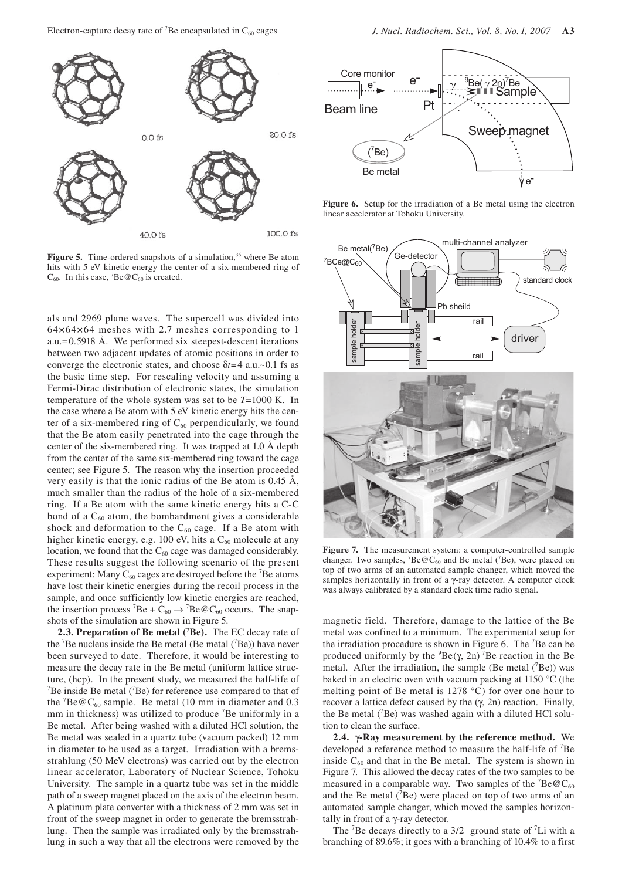

Figure 5. Time-ordered snapshots of a simulation,<sup>36</sup> where Be atom hits with 5 eV kinetic energy the center of a six-membered ring of  $C_{60}$ . In this case, <sup>7</sup>Be @C<sub>60</sub> is created.

als and 2969 plane waves. The supercell was divided into 64×64×64 meshes with 2.7 meshes corresponding to 1 a.u.=0.5918 Å. We performed six steepest-descent iterations between two adjacent updates of atomic positions in order to converge the electronic states, and choose δ*t*=4 a.u.~0.1 fs as the basic time step. For rescaling velocity and assuming a Fermi-Dirac distribution of electronic states, the simulation temperature of the whole system was set to be *T*=1000 K. In the case where a Be atom with 5 eV kinetic energy hits the center of a six-membered ring of  $C_{60}$  perpendicularly, we found that the Be atom easily penetrated into the cage through the center of the six-membered ring. It was trapped at 1.0 Å depth from the center of the same six-membered ring toward the cage center; see Figure 5. The reason why the insertion proceeded very easily is that the ionic radius of the Be atom is 0.45 Å, much smaller than the radius of the hole of a six-membered ring. If a Be atom with the same kinetic energy hits a C-C bond of a  $C_{60}$  atom, the bombardment gives a considerable shock and deformation to the  $C_{60}$  cage. If a Be atom with higher kinetic energy, e.g. 100 eV, hits a  $C_{60}$  molecule at any location, we found that the  $C_{60}$  cage was damaged considerably. These results suggest the following scenario of the present experiment: Many  $C_{60}$  cages are destroyed before the <sup>7</sup>Be atoms have lost their kinetic energies during the recoil process in the sample, and once sufficiently low kinetic energies are reached, the insertion process <sup>7</sup>Be +  $C_{60}$   $\rightarrow$  <sup>7</sup>Be @  $C_{60}$  occurs. The snapshots of the simulation are shown in Figure 5.

2.3. Preparation of Be metal (<sup>7</sup>Be). The EC decay rate of the  ${}^{7}$ Be nucleus inside the Be metal (Be metal  $({}^{7}$ Be)) have never been surveyed to date. Therefore, it would be interesting to measure the decay rate in the Be metal (uniform lattice structure, (hcp). In the present study, we measured the half-life of  $7$ Be inside Be metal ( $7$ Be) for reference use compared to that of the  ${}^{7}$ Be $@C_{60}$  sample. Be metal (10 mm in diameter and 0.3 mm in thickness) was utilized to produce <sup>7</sup>Be uniformly in a Be metal. After being washed with a diluted HCl solution, the Be metal was sealed in a quartz tube (vacuum packed) 12 mm in diameter to be used as a target. Irradiation with a bremsstrahlung (50 MeV electrons) was carried out by the electron linear accelerator, Laboratory of Nuclear Science, Tohoku University. The sample in a quartz tube was set in the middle path of a sweep magnet placed on the axis of the electron beam. A platinum plate converter with a thickness of 2 mm was set in front of the sweep magnet in order to generate the bremsstrahlung. Then the sample was irradiated only by the bremsstrahlung in such a way that all the electrons were removed by the



**Figure 6.** Setup for the irradiation of a Be metal using the electron linear accelerator at Tohoku University.



**Figure 7.** The measurement system: a computer-controlled sample changer. Two samples,  ${}^{7}Be@C_{60}$  and Be metal ( ${}^{7}Be$ ), were placed on top of two arms of an automated sample changer, which moved the samples horizontally in front of a γ-ray detector. A computer clock was always calibrated by a standard clock time radio signal.

magnetic field. Therefore, damage to the lattice of the Be metal was confined to a minimum. The experimental setup for the irradiation procedure is shown in Figure 6. The  ${}^{7}$ Be can be produced uniformly by the  ${}^{9}Be(\gamma, 2n)$ <sup>7</sup>Be reaction in the Be metal. After the irradiation, the sample (Be metal  $(^{7}Be)$ ) was baked in an electric oven with vacuum packing at 1150 °C (the melting point of Be metal is 1278 °C) for over one hour to recover a lattice defect caused by the (γ, 2n) reaction. Finally, the Be metal  $(^{7}Be)$  was washed again with a diluted HCl solution to clean the surface.

**2.4.** γ**-Ray measurement by the reference method.** We developed a reference method to measure the half-life of <sup>7</sup>Be inside  $C_{60}$  and that in the Be metal. The system is shown in Figure 7. This allowed the decay rates of the two samples to be measured in a comparable way. Two samples of the  ${}^{7}Be@C_{60}$ and the Be metal  $(^{7}Be)$  were placed on top of two arms of an automated sample changer, which moved the samples horizontally in front of a γ-ray detector.

The  ${}^{7}$ Be decays directly to a  $3/2{}^{-}$  ground state of  ${}^{7}$ Li with a branching of 89.6%; it goes with a branching of 10.4% to a first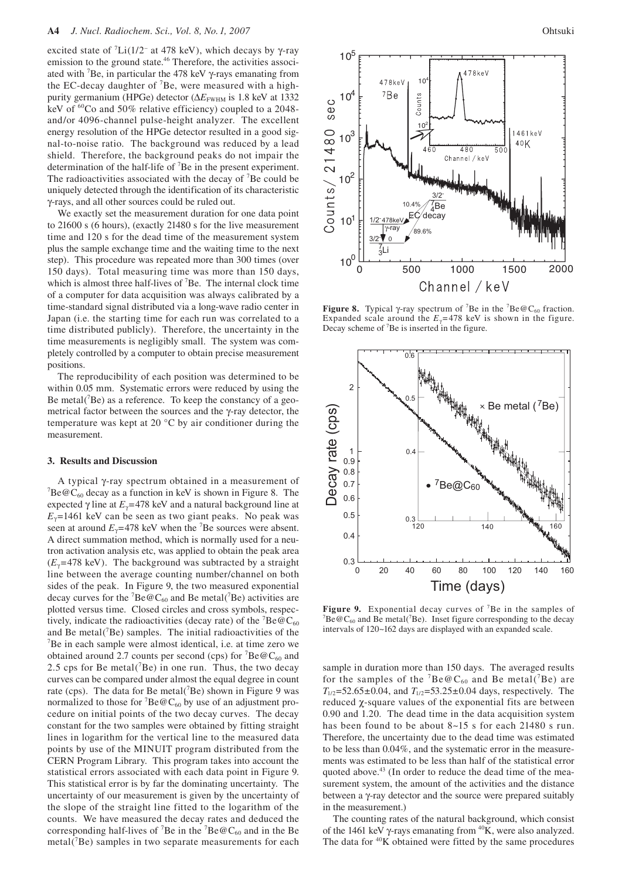excited state of  ${}^{7}Li(1/2^-$  at 478 keV), which decays by  $\gamma$ -ray emission to the ground state.<sup>46</sup> Therefore, the activities associated with  ${}^{7}Be$ , in particular the 478 keV  $\gamma$ -rays emanating from the EC-decay daughter of  ${}^{7}$ Be, were measured with a highpurity germanium (HPGe) detector (ΔE<sub>FWHM</sub> is 1.8 keV at 1332 keV of <sup>60</sup>Co and 50% relative efficiency) coupled to a 2048and/or 4096-channel pulse-height analyzer. The excellent energy resolution of the HPGe detector resulted in a good signal-to-noise ratio. The background was reduced by a lead shield. Therefore, the background peaks do not impair the determination of the half-life of  ${}^{7}$ Be in the present experiment. The radioactivities associated with the decay of <sup>7</sup>Be could be uniquely detected through the identification of its characteristic γ-rays, and all other sources could be ruled out.

We exactly set the measurement duration for one data point to 21600 s (6 hours), (exactly 21480 s for the live measurement time and 120 s for the dead time of the measurement system plus the sample exchange time and the waiting time to the next step). This procedure was repeated more than 300 times (over 150 days). Total measuring time was more than 150 days, which is almost three half-lives of  ${}^{7}$ Be. The internal clock time of a computer for data acquisition was always calibrated by a time-standard signal distributed via a long-wave radio center in Japan (i.e. the starting time for each run was correlated to a time distributed publicly). Therefore, the uncertainty in the time measurements is negligibly small. The system was completely controlled by a computer to obtain precise measurement positions.

The reproducibility of each position was determined to be within 0.05 mm. Systematic errors were reduced by using the Be metal $(^{7}Be)$  as a reference. To keep the constancy of a geometrical factor between the sources and the γ-ray detector, the temperature was kept at 20 °C by air conditioner during the measurement.

## **3. Results and Discussion**

A typical γ-ray spectrum obtained in a measurement of 7  ${}^{7}Be@C_{60}$  decay as a function in keV is shown in Figure 8. The expected  $\gamma$  line at  $E_{\gamma}$ =478 keV and a natural background line at  $E<sub>y</sub>=1461$  keV can be seen as two giant peaks. No peak was seen at around  $E_{\gamma}$ =478 keV when the <sup>7</sup>Be sources were absent. A direct summation method, which is normally used for a neutron activation analysis etc, was applied to obtain the peak area  $(E_y=478 \text{ keV})$ . The background was subtracted by a straight line between the average counting number/channel on both sides of the peak. In Figure 9, the two measured exponential decay curves for the  ${}^{7}Be@C_{60}$  and Be metal( ${}^{7}Be$ ) activities are plotted versus time. Closed circles and cross symbols, respectively, indicate the radioactivities (decay rate) of the  ${}^{7}$ Be $@C_{60}$ and Be metal( ${}^{7}$ Be) samples. The initial radioactivities of the  ${}^{7}$ Be in each sample were almost identical i.e. at time zero we  $\mathrm{^{7}Be}$  in each sample were almost identical, i.e. at time zero we obtained around 2.7 counts per second (cps) for  ${}^{7}Be@C_{60}$  and 2.5 cps for Be metal( ${}^{7}$ Be) in one run. Thus, the two decay curves can be compared under almost the equal degree in count rate (cps). The data for Be metal( $\sqrt{B}$ e) shown in Figure 9 was normalized to those for  ${}^{7}$ Be $@C_{60}$  by use of an adjustment procedure on initial points of the two decay curves. The decay constant for the two samples were obtained by fitting straight lines in logarithm for the vertical line to the measured data points by use of the MINUIT program distributed from the CERN Program Library. This program takes into account the statistical errors associated with each data point in Figure 9. This statistical error is by far the dominating uncertainty. The uncertainty of our measurement is given by the uncertainty of the slope of the straight line fitted to the logarithm of the counts. We have measured the decay rates and deduced the corresponding half-lives of <sup>7</sup>Be in the <sup>7</sup>Be@C<sub>60</sub> and in the Be  $metal(^{7}Be)$  samples in two separate measurements for each



**Figure 8.** Typical  $\gamma$ -ray spectrum of <sup>7</sup>Be in the <sup>7</sup>Be@C<sub>60</sub> fraction. Expanded scale around the  $E_y$ = 478 keV is shown in the figure. Decay scheme of <sup>7</sup>Be is inserted in the figure.



**Figure 9.** Exponential decay curves of <sup>7</sup>Be in the samples of  ${}^{7}P_0@C$ , and  $P_0$  motol( ${}^{7}P_0$ ). Inset figure corresponding to the decay  $Be@C_{60}$  and Be metal(<sup>7</sup>Be). Inset figure corresponding to the decay intervals of 120~162 days are displayed with an expanded scale.

sample in duration more than 150 days. The averaged results for the samples of the  ${}^{7}Be@C_{60}$  and Be metal( ${}^{7}Be$ ) are  $T_{1/2}$ =52.65±0.04, and  $T_{1/2}$ =53.25±0.04 days, respectively. The reduced χ-square values of the exponential fits are between 0.90 and 1.20. The dead time in the data acquisition system has been found to be about 8~15 s for each 21480 s run. Therefore, the uncertainty due to the dead time was estimated to be less than 0.04%, and the systematic error in the measurements was estimated to be less than half of the statistical error quoted above.<sup>43</sup> (In order to reduce the dead time of the measurement system, the amount of the activities and the distance between a γ-ray detector and the source were prepared suitably in the measurement.)

The counting rates of the natural background, which consist of the 1461 keV γ-rays emanating from  ${}^{40}$ K, were also analyzed. The data for  $40K$  obtained were fitted by the same procedures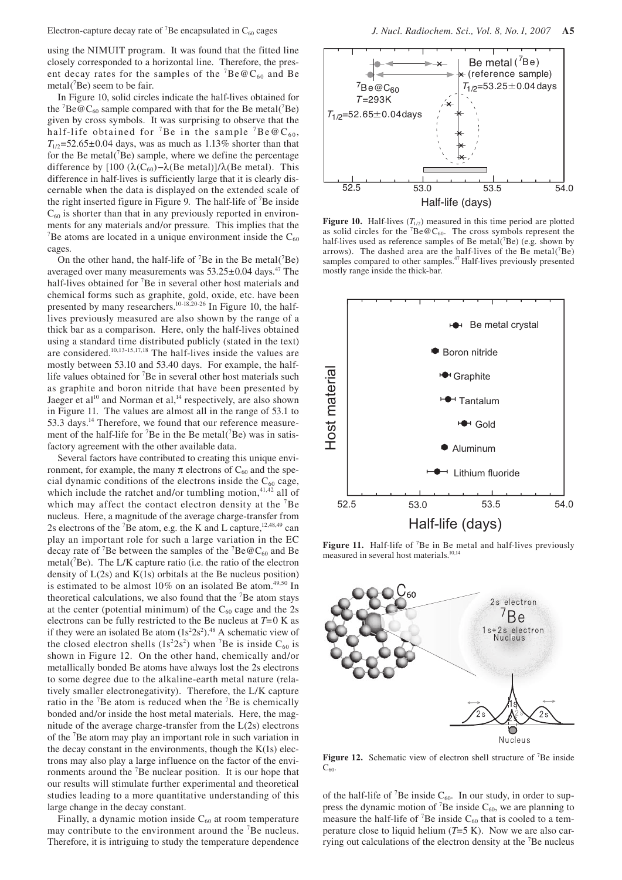using the NIMUIT program. It was found that the fitted line closely corresponded to a horizontal line. Therefore, the present decay rates for the samples of the  ${}^{7}Be@C_{60}$  and Be  $metal$ <sup>7</sup>Be) seem to be fair.

In Figure 10, solid circles indicate the half-lives obtained for the  ${}^{7}Be@C_{60}$  sample compared with that for the Be metal( ${}^{7}Be$ ) given by cross symbols. It was surprising to observe that the half-life obtained for <sup>7</sup>Be in the sample <sup>7</sup>Be@C<sub>60</sub>,  $T_{1/2}$ =52.65±0.04 days, was as much as 1.13% shorter than that for the Be metal $(^{7}Be)$  sample, where we define the percentage difference by [100 ( $\lambda$ (C<sub>60</sub>) – $\lambda$ (Be metal)]/ $\lambda$ (Be metal). This difference in half-lives is sufficiently large that it is clearly discernable when the data is displayed on the extended scale of the right inserted figure in Figure 9. The half-life of  $\mathrm{^{7}Be}$  inside  $C_{60}$  is shorter than that in any previously reported in environments for any materials and/or pressure. This implies that the <sup>7</sup>Be atoms are located in a unique environment inside the  $C_{60}$ cages.

On the other hand, the half-life of  $^7$ Be in the Be metal( $^7$ Be) averaged over many measurements was  $53.25\pm0.04$  days.<sup>47</sup> The half-lives obtained for <sup>7</sup>Be in several other host materials and chemical forms such as graphite, gold, oxide, etc. have been presented by many researchers.<sup>10-18,20-26</sup> In Figure 10, the halflives previously measured are also shown by the range of a thick bar as a comparison. Here, only the half-lives obtained using a standard time distributed publicly (stated in the text) are considered.10,13-15,17,18 The half-lives inside the values are mostly between 53.10 and 53.40 days. For example, the halflife values obtained for <sup>7</sup>Be in several other host materials such as graphite and boron nitride that have been presented by Jaeger et al<sup>10</sup> and Norman et al,<sup>14</sup> respectively, are also shown in Figure 11. The values are almost all in the range of 53.1 to 53.3 days.<sup>14</sup> Therefore, we found that our reference measurement of the half-life for  ${}^{7}$ Be in the Be metal( ${}^{7}$ Be) was in satisfactory agreement with the other available data.

Several factors have contributed to creating this unique environment, for example, the many  $\pi$  electrons of  $C_{60}$  and the special dynamic conditions of the electrons inside the  $C_{60}$  cage, which include the ratchet and/or tumbling motion, $41,42$  all of which may affect the contact electron density at the <sup>7</sup>Be nucleus. Here, a magnitude of the average charge-transfer from 2s electrons of the <sup>7</sup>Be atom, e.g. the K and L capture,  $12,48,49$  can play an important role for such a large variation in the EC decay rate of <sup>7</sup>Be between the samples of the <sup>7</sup>Be  $@C_{60}$  and Be metal( ${}^{7}$ Be). The L/K capture ratio (i.e. the ratio of the electron density of  $L(2s)$  and  $K(1s)$  orbitals at the Be nucleus position) is estimated to be almost  $10\%$  on an isolated Be atom.<sup>49,50</sup> In theoretical calculations, we also found that the  ${}^{7}Be$  atom stays at the center (potential minimum) of the  $C_{60}$  cage and the 2s electrons can be fully restricted to the Be nucleus at *T*=0 K as if they were an isolated Be atom  $(1s^22s^2)^{48}$  A schematic view of the closed electron shells  $(1s^22s^2)$  when <sup>7</sup>Be is inside C<sub>60</sub> is shown in Figure 12. On the other hand, chemically and/or metallically bonded Be atoms have always lost the 2s electrons to some degree due to the alkaline-earth metal nature (relatively smaller electronegativity). Therefore, the L/K capture ratio in the  ${}^{7}Be$  atom is reduced when the  ${}^{7}Be$  is chemically bonded and/or inside the host metal materials. Here, the magnitude of the average charge-transfer from the L(2s) electrons of the 7 Be atom may play an important role in such variation in the decay constant in the environments, though the  $K(1s)$  electrons may also play a large influence on the factor of the environments around the <sup>7</sup>Be nuclear position. It is our hope that our results will stimulate further experimental and theoretical studies leading to a more quantitative understanding of this large change in the decay constant.

Finally, a dynamic motion inside  $C_{60}$  at room temperature may contribute to the environment around the <sup>7</sup>Be nucleus. Therefore, it is intriguing to study the temperature dependence



**Figure 10.** Half-lives  $(T_{1/2})$  measured in this time period are plotted as solid circles for the  ${}^{7}Be@C_{60}$ . The cross symbols represent the half-lives used as reference samples of Be metal( $^7$ Be) (e.g. shown by arrows). The dashed area are the half-lives of the Be metal( $^7$ Be) samples compared to other samples.<sup>47</sup> Half-lives previously presented mostly range inside the thick-bar.



Figure 11. Half-life of <sup>7</sup>Be in Be metal and half-lives previously measured in several host materials.10,14



Figure 12. Schematic view of electron shell structure of <sup>7</sup>Be inside  $C_{60}$ .

of the half-life of <sup>7</sup>Be inside  $C_{60}$ . In our study, in order to suppress the dynamic motion of <sup>7</sup>Be inside  $C_{60}$ , we are planning to measure the half-life of <sup>7</sup>Be inside  $C_{60}$  that is cooled to a temperature close to liquid helium (*T*=5 K). Now we are also carrying out calculations of the electron density at the <sup>7</sup>Be nucleus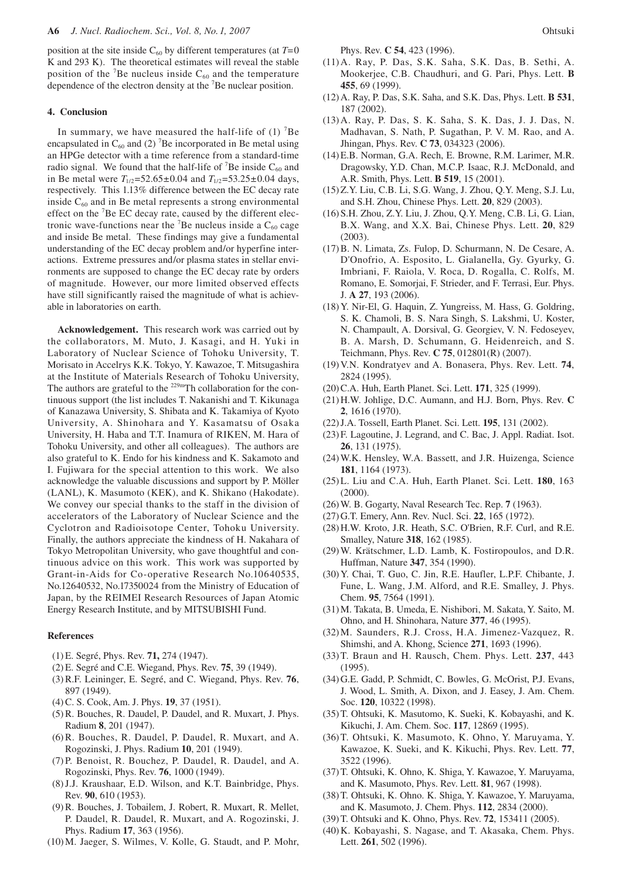position at the site inside  $C_{60}$  by different temperatures (at  $T=0$ K and 293 K). The theoretical estimates will reveal the stable position of the <sup>7</sup>Be nucleus inside  $C_{60}$  and the temperature dependence of the electron density at the  ${}^{7}$ Be nuclear position.

# **4. Conclusion**

In summary, we have measured the half-life of  $(1)$  <sup>7</sup>Be encapsulated in  $C_{60}$  and (2) <sup>7</sup>Be incorporated in Be metal using an HPGe detector with a time reference from a standard-time radio signal. We found that the half-life of  ${}^{7}$ Be inside  $C_{60}$  and in Be metal were  $T_{1/2}$ =52.65±0.04 and  $T_{1/2}$ =53.25±0.04 days, respectively. This 1.13% difference between the EC decay rate inside  $C_{60}$  and in Be metal represents a strong environmental effect on the <sup>7</sup>Be EC decay rate, caused by the different electronic wave-functions near the  ${}^{7}$ Be nucleus inside a C<sub>60</sub> cage and inside Be metal. These findings may give a fundamental understanding of the EC decay problem and/or hyperfine interactions. Extreme pressures and/or plasma states in stellar environments are supposed to change the EC decay rate by orders of magnitude. However, our more limited observed effects have still significantly raised the magnitude of what is achievable in laboratories on earth.

**Acknowledgement.** This research work was carried out by the collaborators, M. Muto, J. Kasagi, and H. Yuki in Laboratory of Nuclear Science of Tohoku University, T. Morisato in Accelrys K.K. Tokyo, Y. Kawazoe, T. Mitsugashira at the Institute of Materials Research of Tohoku University, The authors are grateful to the <sup>229m</sup>Th collaboration for the continuous support (the list includes T. Nakanishi and T. Kikunaga of Kanazawa University, S. Shibata and K. Takamiya of Kyoto University, A. Shinohara and Y. Kasamatsu of Osaka University, H. Haba and T.T. Inamura of RIKEN, M. Hara of Tohoku University, and other all colleagues). The authors are also grateful to K. Endo for his kindness and K. Sakamoto and I. Fujiwara for the special attention to this work. We also acknowledge the valuable discussions and support by P. Möller (LANL), K. Masumoto (KEK), and K. Shikano (Hakodate). We convey our special thanks to the staff in the division of accelerators of the Laboratory of Nuclear Science and the Cyclotron and Radioisotope Center, Tohoku University. Finally, the authors appreciate the kindness of H. Nakahara of Tokyo Metropolitan University, who gave thoughtful and continuous advice on this work. This work was supported by Grant-in-Aids for Co-operative Research No.10640535, No.12640532, No.17350024 from the Ministry of Education of Japan, by the REIMEI Research Resources of Japan Atomic Energy Research Institute, and by MITSUBISHI Fund.

#### **References**

- (1) E. Segré, Phys. Rev. **71,** 274 (1947).
- (2) E. Segré and C.E. Wiegand, Phys. Rev. **75**, 39 (1949).
- (3) R.F. Leininger, E. Segré, and C. Wiegand, Phys. Rev. **76**, 897 (1949).
- (4) C. S. Cook, Am. J. Phys. **19**, 37 (1951).
- (5) R. Bouches, R. Daudel, P. Daudel, and R. Muxart, J. Phys. Radium **8**, 201 (1947).
- (6) R. Bouches, R. Daudel, P. Daudel, R. Muxart, and A. Rogozinski, J. Phys. Radium **10**, 201 (1949).
- (7) P. Benoist, R. Bouchez, P. Daudel, R. Daudel, and A. Rogozinski, Phys. Rev. **76**, 1000 (1949).
- (8) J.J. Kraushaar, E.D. Wilson, and K.T. Bainbridge, Phys. Rev. **90**, 610 (1953).
- (9) R. Bouches, J. Tobailem, J. Robert, R. Muxart, R. Mellet, P. Daudel, R. Daudel, R. Muxart, and A. Rogozinski, J. Phys. Radium **17**, 363 (1956).
- (10) M. Jaeger, S. Wilmes, V. Kolle, G. Staudt, and P. Mohr,

Phys. Rev. **C 54**, 423 (1996).

- (11) A. Ray, P. Das, S.K. Saha, S.K. Das, B. Sethi, A. Mookerjee, C.B. Chaudhuri, and G. Pari, Phys. Lett. **B 455**, 69 (1999).
- (12) A. Ray, P. Das, S.K. Saha, and S.K. Das, Phys. Lett. **B 531**, 187 (2002).
- (13) A. Ray, P. Das, S. K. Saha, S. K. Das, J. J. Das, N. Madhavan, S. Nath, P. Sugathan, P. V. M. Rao, and A. Jhingan, Phys. Rev. **C 73**, 034323 (2006).
- (14) E.B. Norman, G.A. Rech, E. Browne, R.M. Larimer, M.R. Dragowsky, Y.D. Chan, M.C.P. Isaac, R.J. McDonald, and A.R. Smith, Phys. Lett. **B 519**, 15 (2001).
- (15) Z.Y. Liu, C.B. Li, S.G. Wang, J. Zhou, Q.Y. Meng, S.J. Lu, and S.H. Zhou, Chinese Phys. Lett. **20**, 829 (2003).
- (16) S.H. Zhou, Z.Y. Liu, J. Zhou, Q.Y. Meng, C.B. Li, G. Lian, B.X. Wang, and X.X. Bai, Chinese Phys. Lett. **20**, 829 (2003).
- (17) B. N. Limata, Zs. Fulop, D. Schurmann, N. De Cesare, A. D'Onofrio, A. Esposito, L. Gialanella, Gy. Gyurky, G. Imbriani, F. Raiola, V. Roca, D. Rogalla, C. Rolfs, M. Romano, E. Somorjai, F. Strieder, and F. Terrasi, Eur. Phys. J. **A 27**, 193 (2006).
- (18) Y. Nir-El, G. Haquin, Z. Yungreiss, M. Hass, G. Goldring, S. K. Chamoli, B. S. Nara Singh, S. Lakshmi, U. Koster, N. Champault, A. Dorsival, G. Georgiev, V. N. Fedoseyev, B. A. Marsh, D. Schumann, G. Heidenreich, and S. Teichmann, Phys. Rev. **C 75**, 012801(R) (2007).
- (19) V.N. Kondratyev and A. Bonasera, Phys. Rev. Lett. **74**, 2824 (1995).
- (20) C.A. Huh, Earth Planet. Sci. Lett. **171**, 325 (1999).
- (21) H.W. Johlige, D.C. Aumann, and H.J. Born, Phys. Rev. **C 2**, 1616 (1970).
- (22) J.A. Tossell, Earth Planet. Sci. Lett. **195**, 131 (2002).
- (23) F. Lagoutine, J. Legrand, and C. Bac, J. Appl. Radiat. Isot. **26**, 131 (1975).
- (24) W.K. Hensley, W.A. Bassett, and J.R. Huizenga, Science **181**, 1164 (1973).
- (25) L. Liu and C.A. Huh, Earth Planet. Sci. Lett. **180**, 163 (2000).
- (26) W. B. Gogarty, Naval Research Tec. Rep. **7** (1963).
- (27) G.T. Emery, Ann. Rev. Nucl. Sci. **22**, 165 (1972).
- (28) H.W. Kroto, J.R. Heath, S.C. O'Brien, R.F. Curl, and R.E. Smalley, Nature **318**, 162 (1985).
- (29) W. Krätschmer, L.D. Lamb, K. Fostiropoulos, and D.R. Huffman, Nature **347**, 354 (1990).
- (30) Y. Chai, T. Guo, C. Jin, R.E. Haufler, L.P.F. Chibante, J. Fune, L. Wang, J.M. Alford, and R.E. Smalley, J. Phys. Chem. **95**, 7564 (1991).
- (31) M. Takata, B. Umeda, E. Nishibori, M. Sakata, Y. Saito, M. Ohno, and H. Shinohara, Nature **377**, 46 (1995).
- (32) M. Saunders, R.J. Cross, H.A. Jimenez-Vazquez, R. Shimshi, and A. Khong, Science **271**, 1693 (1996).
- (33) T. Braun and H. Rausch, Chem. Phys. Lett. **237**, 443 (1995).
- (34) G.E. Gadd, P. Schmidt, C. Bowles, G. McOrist, P.J. Evans, J. Wood, L. Smith, A. Dixon, and J. Easey, J. Am. Chem. Soc. **120**, 10322 (1998).
- (35) T. Ohtsuki, K. Masutomo, K. Sueki, K. Kobayashi, and K. Kikuchi, J. Am. Chem. Soc. **117**, 12869 (1995).
- (36) T. Ohtsuki, K. Masumoto, K. Ohno, Y. Maruyama, Y. Kawazoe, K. Sueki, and K. Kikuchi, Phys. Rev. Lett. **77**, 3522 (1996).
- (37) T. Ohtsuki, K. Ohno, K. Shiga, Y. Kawazoe, Y. Maruyama, and K. Masumoto, Phys. Rev. Lett. **81**, 967 (1998).
- (38) T. Ohtsuki, K. Ohno. K. Shiga, Y. Kawazoe, Y. Maruyama, and K. Masumoto, J. Chem. Phys. **112**, 2834 (2000).
- (39) T. Ohtsuki and K. Ohno, Phys. Rev. **72**, 153411 (2005).
- (40) K. Kobayashi, S. Nagase, and T. Akasaka, Chem. Phys. Lett. **261**, 502 (1996).